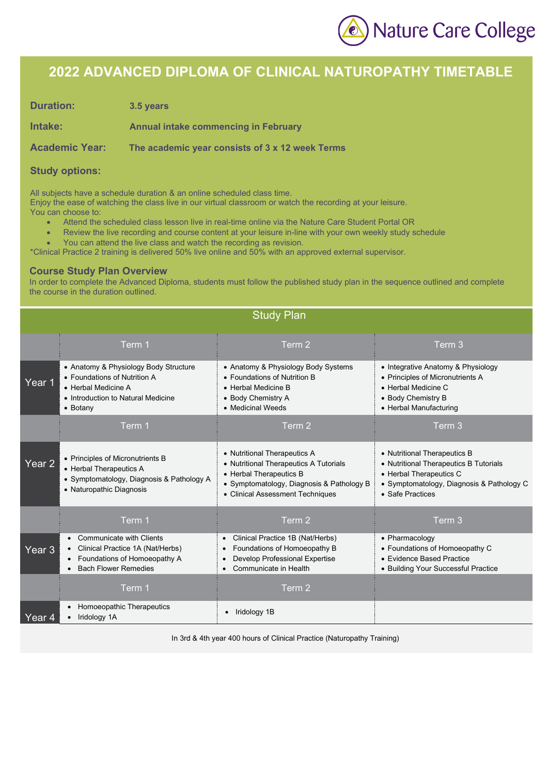

## **2022 ADVANCED DIPLOMA OF CLINICAL NATUROPATHY TIMETABLE**

**Duration: 3.5 years** 

**Intake: Annual intake commencing in February**

**Academic Year: The academic year consists of 3 x 12 week Terms**

#### **Study options:**

All subjects have a schedule duration & an online scheduled class time.

Enjoy the ease of watching the class live in our virtual classroom or watch the recording at your leisure.

- You can choose to:
	- Attend the scheduled class lesson live in real-time online via the Nature Care Student Portal OR
	- Review the live recording and course content at your leisure in-line with your own weekly study schedule
	- You can attend the live class and watch the recording as revision.

\*Clinical Practice 2 training is delivered 50% live online and 50% with an approved external supervisor.

#### **Course Study Plan Overview**

In order to complete the Advanced Diploma, students must follow the published study plan in the sequence outlined and complete the course in the duration outlined.

|                   | <b>Study Plan</b>                                                                                                                              |                                                                                                                                                                                    |                                                                                                                                                                    |  |  |  |
|-------------------|------------------------------------------------------------------------------------------------------------------------------------------------|------------------------------------------------------------------------------------------------------------------------------------------------------------------------------------|--------------------------------------------------------------------------------------------------------------------------------------------------------------------|--|--|--|
|                   | Term 1                                                                                                                                         | Term 2                                                                                                                                                                             | Term 3                                                                                                                                                             |  |  |  |
| Year 1            | • Anatomy & Physiology Body Structure<br>• Foundations of Nutrition A<br>• Herbal Medicine A<br>• Introduction to Natural Medicine<br>• Botany | • Anatomy & Physiology Body Systems<br>• Foundations of Nutrition B<br>• Herbal Medicine B<br>• Body Chemistry A<br>• Medicinal Weeds                                              | • Integrative Anatomy & Physiology<br>• Principles of Micronutrients A<br>• Herbal Medicine C<br>• Body Chemistry B<br>• Herbal Manufacturing                      |  |  |  |
|                   | Term 1                                                                                                                                         | Term 2                                                                                                                                                                             | Term 3                                                                                                                                                             |  |  |  |
| Year <sub>2</sub> | • Principles of Micronutrients B<br>• Herbal Therapeutics A<br>• Symptomatology, Diagnosis & Pathology A<br>• Naturopathic Diagnosis           | • Nutritional Therapeutics A<br>• Nutritional Therapeutics A Tutorials<br>• Herbal Therapeutics B<br>• Symptomatology, Diagnosis & Pathology B<br>• Clinical Assessment Techniques | • Nutritional Therapeutics B<br>• Nutritional Therapeutics B Tutorials<br>• Herbal Therapeutics C<br>• Symptomatology, Diagnosis & Pathology C<br>• Safe Practices |  |  |  |
|                   | Term 1                                                                                                                                         | Term 2                                                                                                                                                                             | Term 3                                                                                                                                                             |  |  |  |
| Year 3            | • Communicate with Clients<br>Clinical Practice 1A (Nat/Herbs)<br>Foundations of Homoeopathy A<br><b>Bach Flower Remedies</b>                  | Clinical Practice 1B (Nat/Herbs)<br>$\bullet$<br>Foundations of Homoeopathy B<br>$\bullet$<br>Develop Professional Expertise<br>Communicate in Health<br>$\bullet$                 | • Pharmacology<br>• Foundations of Homoeopathy C<br>• Evidence Based Practice<br>• Building Your Successful Practice                                               |  |  |  |
|                   | Term 1                                                                                                                                         | Term 2                                                                                                                                                                             |                                                                                                                                                                    |  |  |  |
| Year 4            | Homoeopathic Therapeutics<br>Iridology 1A                                                                                                      | Iridology 1B                                                                                                                                                                       |                                                                                                                                                                    |  |  |  |

In 3rd & 4th year 400 hours of Clinical Practice (Naturopathy Training)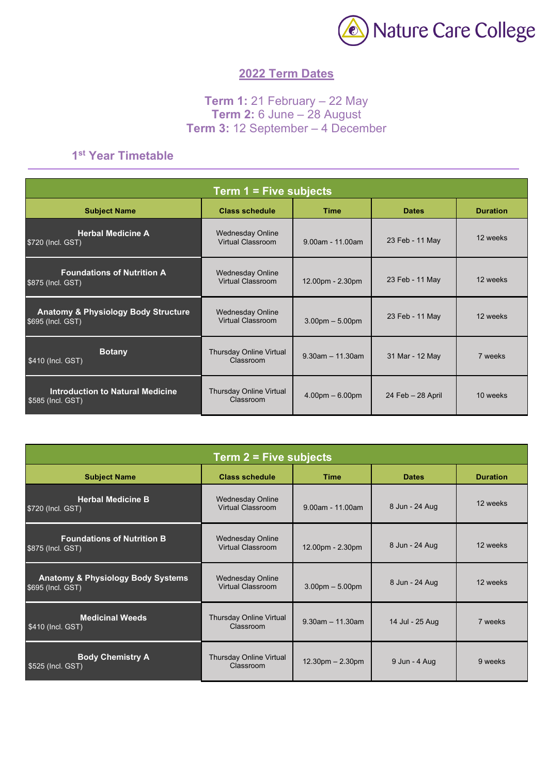

### **2022 Term Dates**

### **Term 1:** 21 February – 22 May **Term 2:** 6 June – 28 August **Term 3:** 12 September – 4 December

### **1st Year Timetable**

| Term $1 =$ Five subjects                                            |                                                     |                       |                   |                 |  |
|---------------------------------------------------------------------|-----------------------------------------------------|-----------------------|-------------------|-----------------|--|
| <b>Subject Name</b>                                                 | <b>Class schedule</b>                               | <b>Time</b>           | <b>Dates</b>      | <b>Duration</b> |  |
| <b>Herbal Medicine A</b><br>\$720 (Incl. GST)                       | <b>Wednesday Online</b><br>Virtual Classroom        | $9.00$ am - 11.00am   | 23 Feb - 11 May   | 12 weeks        |  |
| <b>Foundations of Nutrition A</b><br>\$875 (Incl. GST)              | <b>Wednesday Online</b><br><b>Virtual Classroom</b> | 12.00pm - 2.30pm      | 23 Feb - 11 May   | 12 weeks        |  |
| <b>Anatomy &amp; Physiology Body Structure</b><br>\$695 (Incl. GST) | <b>Wednesday Online</b><br>Virtual Classroom        | $3.00pm - 5.00pm$     | 23 Feb - 11 May   | 12 weeks        |  |
| <b>Botany</b><br>\$410 (Incl. GST)                                  | <b>Thursday Online Virtual</b><br>Classroom         | $9.30$ am $-11.30$ am | 31 Mar - 12 May   | 7 weeks         |  |
| <b>Introduction to Natural Medicine</b><br>\$585 (Incl. GST)        | Thursday Online Virtual<br>Classroom                | $4.00pm - 6.00pm$     | 24 Feb - 28 April | 10 weeks        |  |

| Term $2$ = Five subjects                                          |                                                     |                       |                 |                 |  |
|-------------------------------------------------------------------|-----------------------------------------------------|-----------------------|-----------------|-----------------|--|
| <b>Subject Name</b>                                               | <b>Class schedule</b>                               | <b>Time</b>           | <b>Dates</b>    | <b>Duration</b> |  |
| <b>Herbal Medicine B</b><br>\$720 (Incl. GST)                     | <b>Wednesday Online</b><br><b>Virtual Classroom</b> | $9.00$ am - 11.00am   | 8 Jun - 24 Aug  | 12 weeks        |  |
| <b>Foundations of Nutrition B</b><br>\$875 (Incl. GST)            | <b>Wednesday Online</b><br>Virtual Classroom        | 12.00pm - 2.30pm      | 8 Jun - 24 Aug  | 12 weeks        |  |
| <b>Anatomy &amp; Physiology Body Systems</b><br>\$695 (Incl. GST) | <b>Wednesday Online</b><br>Virtual Classroom        | $3.00pm - 5.00pm$     | 8 Jun - 24 Aug  | 12 weeks        |  |
| <b>Medicinal Weeds</b><br>\$410 (Incl. GST)                       | <b>Thursday Online Virtual</b><br>Classroom         | $9.30$ am $-11.30$ am | 14 Jul - 25 Aug | 7 weeks         |  |
| <b>Body Chemistry A</b><br>\$525 (Incl. GST)                      | <b>Thursday Online Virtual</b><br>Classroom         | 12.30pm - 2.30pm      | 9 Jun - 4 Aug   | 9 weeks         |  |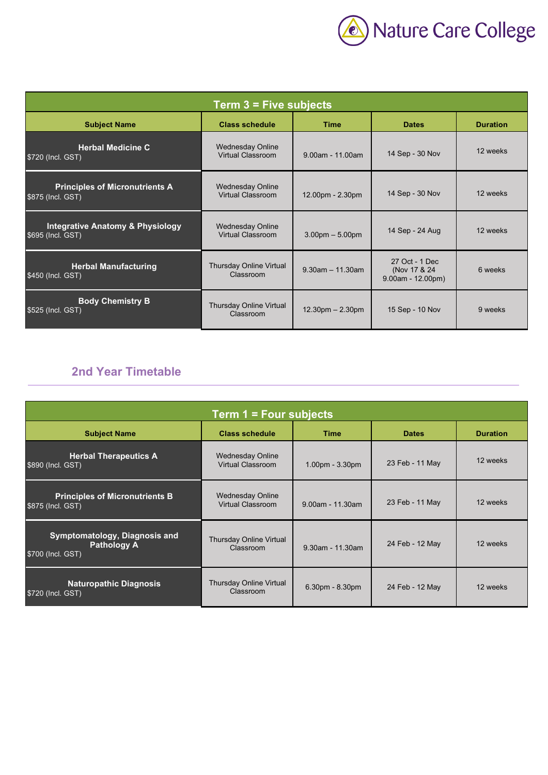

| Term $3$ = Five subjects                                         |                                                     |                       |                                                       |                 |  |
|------------------------------------------------------------------|-----------------------------------------------------|-----------------------|-------------------------------------------------------|-----------------|--|
| <b>Subject Name</b>                                              | <b>Class schedule</b>                               | <b>Time</b>           | <b>Dates</b>                                          | <b>Duration</b> |  |
| <b>Herbal Medicine C</b><br>\$720 (Incl. GST)                    | <b>Wednesday Online</b><br><b>Virtual Classroom</b> | $9.00$ am - 11.00am   | 14 Sep - 30 Nov                                       | 12 weeks        |  |
| <b>Principles of Micronutrients A</b><br>\$875 (Incl. GST)       | <b>Wednesday Online</b><br>Virtual Classroom        | 12.00pm - 2.30pm      | 14 Sep - 30 Nov                                       | 12 weeks        |  |
| <b>Integrative Anatomy &amp; Physiology</b><br>\$695 (Incl. GST) | <b>Wednesday Online</b><br>Virtual Classroom        | $3.00pm - 5.00pm$     | 14 Sep - 24 Aug                                       | 12 weeks        |  |
| <b>Herbal Manufacturing</b><br>\$450 (Incl. GST)                 | Thursday Online Virtual<br>Classroom                | $9.30$ am $-11.30$ am | 27 Oct - 1 Dec<br>(Nov 17 & 24<br>$9.00am - 12.00pm)$ | 6 weeks         |  |
| <b>Body Chemistry B</b><br>\$525 (Incl. GST)                     | Thursday Online Virtual<br>Classroom                | $12.30pm - 2.30pm$    | 15 Sep - 10 Nov                                       | 9 weeks         |  |

## **2nd Year Timetable**

| Term 1 = Four subjects                                                   |                                                     |                     |                 |                 |  |
|--------------------------------------------------------------------------|-----------------------------------------------------|---------------------|-----------------|-----------------|--|
| <b>Subject Name</b>                                                      | <b>Class schedule</b>                               | <b>Time</b>         | <b>Dates</b>    | <b>Duration</b> |  |
| <b>Herbal Therapeutics A</b><br>\$890 (Incl. GST)                        | <b>Wednesday Online</b><br><b>Virtual Classroom</b> | $1.00pm - 3.30pm$   | 23 Feb - 11 May | 12 weeks        |  |
| <b>Principles of Micronutrients B</b><br>\$875 (Incl. GST)               | <b>Wednesday Online</b><br><b>Virtual Classroom</b> | $9.00$ am - 11.30am | 23 Feb - 11 May | 12 weeks        |  |
| Symptomatology, Diagnosis and<br><b>Pathology A</b><br>\$700 (Incl. GST) | Thursday Online Virtual<br>Classroom                | $9.30$ am - 11.30am | 24 Feb - 12 May | 12 weeks        |  |
| <b>Naturopathic Diagnosis</b><br>\$720 (Incl. GST)                       | <b>Thursday Online Virtual</b><br>Classroom         | $6.30pm - 8.30pm$   | 24 Feb - 12 May | 12 weeks        |  |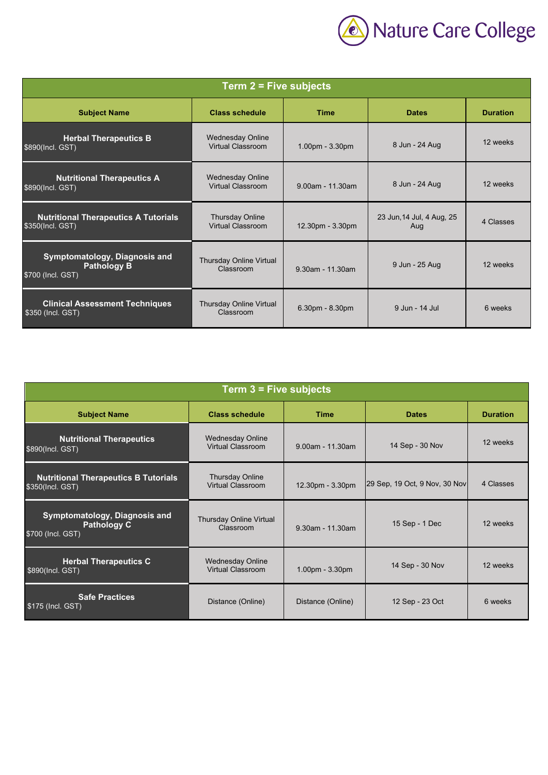

| Term $2$ = Five subjects                                                 |                                                     |                     |                                  |                 |  |
|--------------------------------------------------------------------------|-----------------------------------------------------|---------------------|----------------------------------|-----------------|--|
| <b>Subject Name</b>                                                      | <b>Class schedule</b>                               | <b>Time</b>         | <b>Dates</b>                     | <b>Duration</b> |  |
| <b>Herbal Therapeutics B</b><br>\$890(Incl. GST)                         | <b>Wednesday Online</b><br><b>Virtual Classroom</b> | 1.00pm - 3.30pm     | 8 Jun - 24 Aug                   | 12 weeks        |  |
| <b>Nutritional Therapeutics A</b><br>\$890(Incl. GST)                    | <b>Wednesday Online</b><br><b>Virtual Classroom</b> | $9.00$ am - 11.30am | 8 Jun - 24 Aug                   | 12 weeks        |  |
| <b>Nutritional Therapeutics A Tutorials</b><br>\$350(Incl. GST)          | <b>Thursday Online</b><br><b>Virtual Classroom</b>  | 12.30pm - 3.30pm    | 23 Jun, 14 Jul, 4 Aug, 25<br>Aug | 4 Classes       |  |
| Symptomatology, Diagnosis and<br><b>Pathology B</b><br>\$700 (Incl. GST) | Thursday Online Virtual<br>Classroom                | 9.30am - 11.30am    | 9 Jun - 25 Aug                   | 12 weeks        |  |
| <b>Clinical Assessment Techniques</b><br>\$350 (Incl. GST)               | <b>Thursday Online Virtual</b><br>Classroom         | 6.30pm - 8.30pm     | 9 Jun - 14 Jul                   | 6 weeks         |  |

| Term 3 = Five subjects                                                   |                                              |                     |                               |                 |  |
|--------------------------------------------------------------------------|----------------------------------------------|---------------------|-------------------------------|-----------------|--|
| <b>Subject Name</b>                                                      | <b>Class schedule</b>                        | <b>Time</b>         | <b>Dates</b>                  | <b>Duration</b> |  |
| <b>Nutritional Therapeutics</b><br>\$890(Incl. GST)                      | <b>Wednesday Online</b><br>Virtual Classroom | $9.00$ am - 11.30am | 14 Sep - 30 Nov               | 12 weeks        |  |
| <b>Nutritional Therapeutics B Tutorials</b><br>\$350(Incl. GST)          | <b>Thursday Online</b><br>Virtual Classroom  | 12.30pm - 3.30pm    | 29 Sep, 19 Oct, 9 Nov, 30 Nov | 4 Classes       |  |
| Symptomatology, Diagnosis and<br><b>Pathology C</b><br>\$700 (Incl. GST) | <b>Thursday Online Virtual</b><br>Classroom  | 9.30am - 11.30am    | 15 Sep - 1 Dec                | 12 weeks        |  |
| <b>Herbal Therapeutics C</b><br>\$890(Incl. GST)                         | <b>Wednesday Online</b><br>Virtual Classroom | 1.00pm - 3.30pm     | 14 Sep - 30 Nov               | 12 weeks        |  |
| <b>Safe Practices</b><br>\$175 (Incl. GST)                               | Distance (Online)                            | Distance (Online)   | 12 Sep - 23 Oct               | 6 weeks         |  |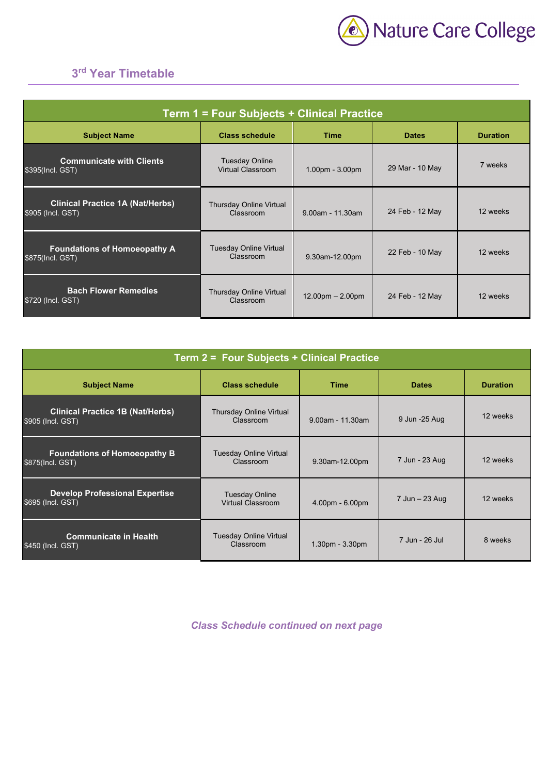

## **3rd Year Timetable**

| <b>Term 1 = Four Subjects + Clinical Practice</b>            |                                             |                        |                 |                 |  |
|--------------------------------------------------------------|---------------------------------------------|------------------------|-----------------|-----------------|--|
| <b>Subject Name</b>                                          | <b>Class schedule</b>                       | <b>Time</b>            | <b>Dates</b>    | <b>Duration</b> |  |
| <b>Communicate with Clients</b><br>\$395(Incl. GST)          | <b>Tuesday Online</b><br>Virtual Classroom  | $1.00pm - 3.00pm$      | 29 Mar - 10 May | 7 weeks         |  |
| <b>Clinical Practice 1A (Nat/Herbs)</b><br>\$905 (Incl. GST) | Thursday Online Virtual<br>Classroom        | $9.00$ am - 11.30am    | 24 Feb - 12 May | 12 weeks        |  |
| <b>Foundations of Homoeopathy A</b><br>\$875(Incl. GST)      | <b>Tuesday Online Virtual</b><br>Classroom  | 9.30am-12.00pm         | 22 Feb - 10 May | 12 weeks        |  |
| <b>Bach Flower Remedies</b><br>\$720 (Incl. GST)             | <b>Thursday Online Virtual</b><br>Classroom | $12.00$ pm $- 2.00$ pm | 24 Feb - 12 May | 12 weeks        |  |

| Term 2 = Four Subjects + Clinical Practice                   |                                                   |                     |                |                 |  |
|--------------------------------------------------------------|---------------------------------------------------|---------------------|----------------|-----------------|--|
| <b>Subject Name</b>                                          | <b>Class schedule</b>                             | <b>Time</b>         | <b>Dates</b>   | <b>Duration</b> |  |
| <b>Clinical Practice 1B (Nat/Herbs)</b><br>\$905 (Incl. GST) | <b>Thursday Online Virtual</b><br>Classroom       | $9.00$ am - 11.30am | 9 Jun -25 Aug  | 12 weeks        |  |
| <b>Foundations of Homoeopathy B</b><br>\$875(Incl. GST)      | <b>Tuesday Online Virtual</b><br>Classroom        | 9.30am-12.00pm      | 7 Jun - 23 Aug | 12 weeks        |  |
| <b>Develop Professional Expertise</b><br>\$695 (Incl. GST)   | <b>Tuesday Online</b><br><b>Virtual Classroom</b> | $4.00pm - 6.00pm$   | 7 Jun - 23 Aug | 12 weeks        |  |
| <b>Communicate in Health</b><br>\$450 (Incl. GST)            | <b>Tuesday Online Virtual</b><br>Classroom        | $1.30pm - 3.30pm$   | 7 Jun - 26 Jul | 8 weeks         |  |

*Class Schedule continued on next page*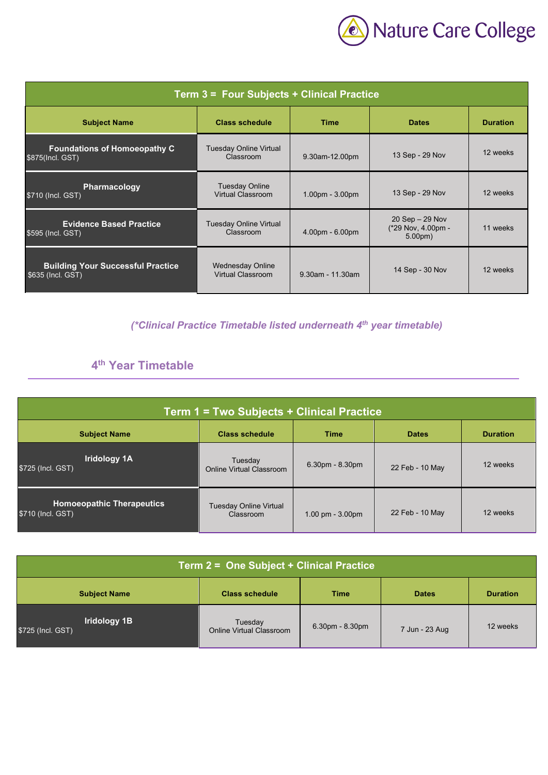

| Term 3 = Four Subjects + Clinical Practice                    |                                                   |                     |                                                                |                 |  |
|---------------------------------------------------------------|---------------------------------------------------|---------------------|----------------------------------------------------------------|-----------------|--|
| <b>Subject Name</b>                                           | <b>Class schedule</b>                             | <b>Time</b>         | <b>Dates</b>                                                   | <b>Duration</b> |  |
| <b>Foundations of Homoeopathy C</b><br>\$875(Incl. GST)       | <b>Tuesday Online Virtual</b><br>Classroom        | 9.30am-12.00pm      | 13 Sep - 29 Nov                                                | 12 weeks        |  |
| <b>Pharmacology</b><br>\$710 (Incl. GST)                      | <b>Tuesday Online</b><br><b>Virtual Classroom</b> | $1.00pm - 3.00pm$   | 13 Sep - 29 Nov                                                | 12 weeks        |  |
| <b>Evidence Based Practice</b><br>\$595 (Incl. GST)           | <b>Tuesday Online Virtual</b><br>Classroom        | $4.00pm - 6.00pm$   | $20$ Sep $-29$ Nov<br>(*29 Nov. 4.00pm -<br>5.00 <sub>pm</sub> | 11 weeks        |  |
| <b>Building Your Successful Practice</b><br>\$635 (Incl. GST) | <b>Wednesday Online</b><br>Virtual Classroom      | $9.30$ am - 11.30am | 14 Sep - 30 Nov                                                | 12 weeks        |  |

*(\*Clinical Practice Timetable listed underneath 4th year timetable)* 

# **4th Year Timetable**

| Term 1 = Two Subjects + Clinical Practice                                                      |                                     |                                     |                 |          |  |  |
|------------------------------------------------------------------------------------------------|-------------------------------------|-------------------------------------|-----------------|----------|--|--|
| <b>Subject Name</b><br><b>Class schedule</b><br><b>Time</b><br><b>Duration</b><br><b>Dates</b> |                                     |                                     |                 |          |  |  |
| <b>Iridology 1A</b><br>\$725 (Incl. GST)                                                       | Tuesday<br>Online Virtual Classroom | $6.30pm - 8.30pm$                   | 22 Feb - 10 May | 12 weeks |  |  |
| <b>Homoeopathic Therapeutics</b><br>\$710 (Incl. GST)                                          | Tuesday Online Virtual<br>Classroom | $1.00 \text{ pm} - 3.00 \text{ pm}$ | 22 Feb - 10 May | 12 weeks |  |  |

| Term 2 = One Subject + Clinical Practice |                                            |                   |                |                 |
|------------------------------------------|--------------------------------------------|-------------------|----------------|-----------------|
| <b>Subject Name</b>                      | <b>Class schedule</b>                      | <b>Time</b>       | <b>Dates</b>   | <b>Duration</b> |
| Iridology 1B<br>\$725 (Incl. GST)        | Tuesday<br><b>Online Virtual Classroom</b> | $6.30pm - 8.30pm$ | 7 Jun - 23 Aug | 12 weeks        |